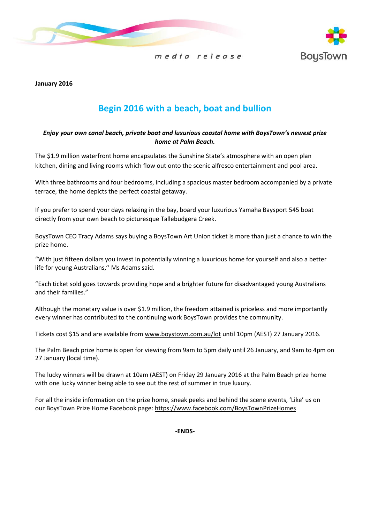



**January 2016**

# **Begin 2016 with a beach, boat and bullion**

### *Enjoy your own canal beach, private boat and luxurious coastal home with BoysTown's newest prize home at Palm Beach.*

The \$1.9 million waterfront home encapsulates the Sunshine State's atmosphere with an open plan kitchen, dining and living rooms which flow out onto the scenic alfresco entertainment and pool area.

With three bathrooms and four bedrooms, including a spacious master bedroom accompanied by a private terrace, the home depicts the perfect coastal getaway.

If you prefer to spend your days relaxing in the bay, board your luxurious Yamaha Baysport 545 boat directly from your own beach to picturesque Tallebudgera Creek.

BoysTown CEO Tracy Adams says buying a BoysTown Art Union ticket is more than just a chance to win the prize home.

"With just fifteen dollars you invest in potentially winning a luxurious home for yourself and also a better life for young Australians,'' Ms Adams said.

"Each ticket sold goes towards providing hope and a brighter future for disadvantaged young Australians and their families."

Although the monetary value is over \$1.9 million, the freedom attained is priceless and more importantly every winner has contributed to the continuing work BoysTown provides the community.

Tickets cost \$15 and are available from [www.boystown.com.au/lot](http://www.boystown.com.au/lot) until 10pm (AEST) 27 January 2016.

The Palm Beach prize home is open for viewing from 9am to 5pm daily until 26 January, and 9am to 4pm on 27 January (local time).

The lucky winners will be drawn at 10am (AEST) on Friday 29 January 2016 at the Palm Beach prize home with one lucky winner being able to see out the rest of summer in true luxury.

For all the inside information on the prize home, sneak peeks and behind the scene events, 'Like' us on our BoysTown Prize Home Facebook page: <https://www.facebook.com/BoysTownPrizeHomes>

**-ENDS-**